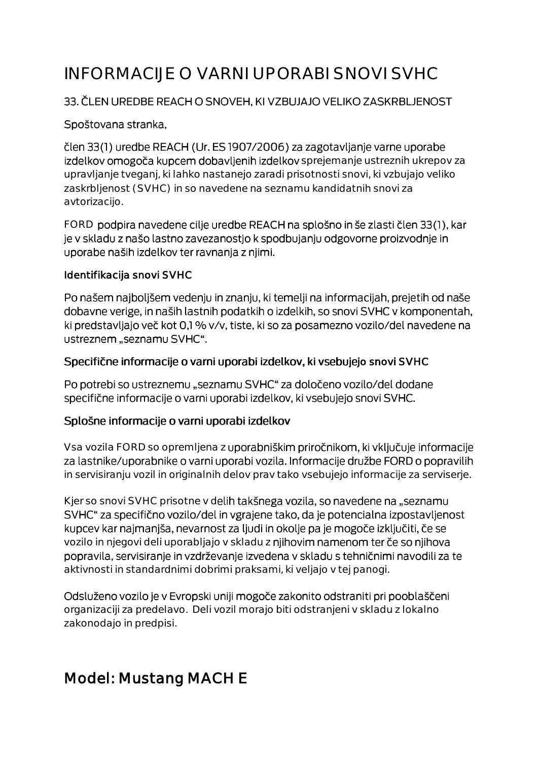# INFORMACIJE O VARNI UPORABI SNOVI SVHC

#### 33. ČLEN UREDBE REACH O SNOVEH, KI VZBUJAJO VELIKO ZASKRBLJENOST

#### Spoštovana stranka,

člen 33(1) uredbe REACH (Ur. ES 1907/2006) za zagotavljanje varne uporabe izdelkov omogoča kupcem dobavljenih izdelkov sprejemanje ustreznih ukrepov za upravljanje tveganj, ki lahko nastanejo zaradi prisotnosti snovi, ki vzbujajo veliko zaskrbljenost (SVHC) in so navedene na seznamu kandidatnih snovi za avtorizacijo.

FORD podpira navedene cilje uredbe REACH na splošno in še zlasti člen 33(1), kar je v skladu z našo lastno zavezanostjo k spodbujanju odgovorne proizvodnje in uporabe naših izdelkov ter ravnanja z njimi.

#### Identifikacija snovi SVHC

Po našem najboljšem vedenju in znanju, ki temelji na informacijah, prejetih od naše dobavne verige, in naših lastnih podatkih o izdelkih, so snovi SVHC v komponentah, ki predstavljajo več kot 0,1 % v/v, tiste, ki so za posamezno vozilo/del navedene na ustreznem "seznamu SVHC".

#### Specifične informacije o varni uporabi izdelkov, ki vsebujejo snovi SVHC

Po potrebi so ustreznemu "seznamu SVHC" za določeno vozilo/del dodane specifične informacije o varni uporabi izdelkov, ki vsebujejo snovi SVHC.

#### Splošne informacije o varni uporabi izdelkov

Vsa vozila FORD so opremljena z uporabniškim priročnikom, ki vključuje informacije za lastnike/uporabnike o varni uporabi vozila. Informacije družbe FORD o popravilih in servisiranju vozil in originalnih delov prav tako vsebujejo informacije za serviserje.

Kjer so snovi SVHC prisotne v delih takšnega vozila, so navedene na "seznamu SVHC" za specifično vozilo/del in vgrajene tako, da je potencialna izpostavljenost kupcev kar najmanjša, nevarnost za ljudi in okolje pa je mogoče izključiti, če se vozilo in njegovi deli uporabljajo v skladu z njihovim namenom ter če so njihova popravila, servisiranje in vzdrževanje izvedena v skladu s tehničnimi navodili za te aktivnosti in standardnimi dobrimi praksami, ki veljajo v tej panogi.

Odsluženo vozilo je v Evropski uniji mogoče zakonito odstraniti pri pooblaščeni organizaciji za predelavo. Deli vozil morajo biti odstranjeni v skladu z lokalno zakonodajo in predpisi.

## Model: Mustang MACH E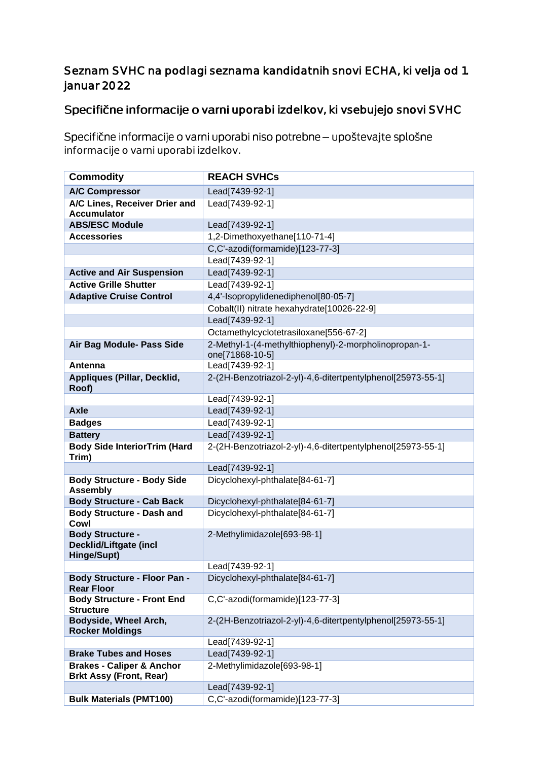#### Seznam SVHC na podlagi seznama kandidatnih snovi ECHA, ki velja od 1. januar 2022

### Specifične informacije o varni uporabi izdelkov, ki vsebujejo snovi SVHC

Specifične informacije o varni uporabi niso potrebne - upoštevajte splošne informacije o varni uporabi izdelkov.

| <b>Commodity</b>                                                        | <b>REACH SVHCs</b>                                          |
|-------------------------------------------------------------------------|-------------------------------------------------------------|
| <b>A/C Compressor</b>                                                   | Lead[7439-92-1]                                             |
| A/C Lines, Receiver Drier and<br><b>Accumulator</b>                     | Lead[7439-92-1]                                             |
| <b>ABS/ESC Module</b>                                                   | Lead[7439-92-1]                                             |
| <b>Accessories</b>                                                      | 1,2-Dimethoxyethane[110-71-4]                               |
|                                                                         | C,C'-azodi(formamide)[123-77-3]                             |
|                                                                         | Lead[7439-92-1]                                             |
| <b>Active and Air Suspension</b>                                        | Lead[7439-92-1]                                             |
| <b>Active Grille Shutter</b>                                            | Lead[7439-92-1]                                             |
| <b>Adaptive Cruise Control</b>                                          | 4,4'-Isopropylidenediphenol[80-05-7]                        |
|                                                                         | Cobalt(II) nitrate hexahydrate[10026-22-9]                  |
|                                                                         | Lead[7439-92-1]                                             |
|                                                                         | Octamethylcyclotetrasiloxane[556-67-2]                      |
| Air Bag Module- Pass Side                                               | 2-Methyl-1-(4-methylthiophenyl)-2-morpholinopropan-1-       |
|                                                                         | one[71868-10-5]                                             |
| Antenna                                                                 | Lead[7439-92-1]                                             |
| Appliques (Pillar, Decklid,<br>Roof)                                    | 2-(2H-Benzotriazol-2-yl)-4,6-ditertpentylphenol[25973-55-1] |
|                                                                         | Lead[7439-92-1]                                             |
| <b>Axle</b>                                                             | Lead[7439-92-1]                                             |
| <b>Badges</b>                                                           | Lead[7439-92-1]                                             |
| <b>Battery</b>                                                          | Lead[7439-92-1]                                             |
| <b>Body Side InteriorTrim (Hard</b><br>Trim)                            | 2-(2H-Benzotriazol-2-yl)-4,6-ditertpentylphenol[25973-55-1] |
|                                                                         | Lead[7439-92-1]                                             |
| <b>Body Structure - Body Side</b><br><b>Assembly</b>                    | Dicyclohexyl-phthalate[84-61-7]                             |
| <b>Body Structure - Cab Back</b>                                        | Dicyclohexyl-phthalate[84-61-7]                             |
| <b>Body Structure - Dash and</b><br>Cowl                                | Dicyclohexyl-phthalate[84-61-7]                             |
| <b>Body Structure -</b><br><b>Decklid/Liftgate (incl</b><br>Hinge/Supt) | 2-Methylimidazole[693-98-1]                                 |
|                                                                         | Lead[7439-92-1]                                             |
| Body Structure - Floor Pan -<br><b>Rear Floor</b>                       | Dicyclohexyl-phthalate[84-61-7]                             |
| <b>Body Structure - Front End</b><br><b>Structure</b>                   | C,C'-azodi(formamide)[123-77-3]                             |
| Bodyside, Wheel Arch,<br><b>Rocker Moldings</b>                         | 2-(2H-Benzotriazol-2-yl)-4,6-ditertpentylphenol[25973-55-1] |
|                                                                         | Lead[7439-92-1]                                             |
| <b>Brake Tubes and Hoses</b>                                            | Lead[7439-92-1]                                             |
| <b>Brakes - Caliper &amp; Anchor</b>                                    | 2-Methylimidazole[693-98-1]                                 |
| <b>Brkt Assy (Front, Rear)</b>                                          |                                                             |
|                                                                         | Lead[7439-92-1]                                             |
| <b>Bulk Materials (PMT100)</b>                                          | C,C'-azodi(formamide)[123-77-3]                             |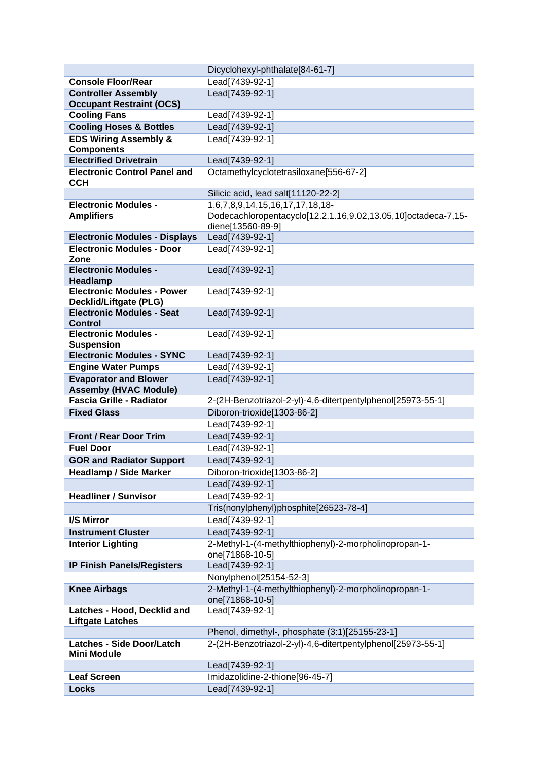|                                                             | Dicyclohexyl-phthalate[84-61-7]                                                                                       |
|-------------------------------------------------------------|-----------------------------------------------------------------------------------------------------------------------|
| <b>Console Floor/Rear</b>                                   | Lead[7439-92-1]                                                                                                       |
| <b>Controller Assembly</b>                                  | Lead[7439-92-1]                                                                                                       |
| <b>Occupant Restraint (OCS)</b>                             |                                                                                                                       |
| <b>Cooling Fans</b>                                         | Lead[7439-92-1]                                                                                                       |
| <b>Cooling Hoses &amp; Bottles</b>                          | Lead[7439-92-1]                                                                                                       |
| <b>EDS Wiring Assembly &amp;</b>                            | Lead[7439-92-1]                                                                                                       |
| <b>Components</b>                                           |                                                                                                                       |
| <b>Electrified Drivetrain</b>                               | Lead[7439-92-1]                                                                                                       |
| <b>Electronic Control Panel and</b><br><b>CCH</b>           | Octamethylcyclotetrasiloxane[556-67-2]                                                                                |
|                                                             | Silicic acid, lead salt[11120-22-2]                                                                                   |
| <b>Electronic Modules -</b><br><b>Amplifiers</b>            | 1,6,7,8,9,14,15,16,17,17,18,18-<br>Dodecachloropentacyclo[12.2.1.16,9.02,13.05,10]octadeca-7,15-<br>diene[13560-89-9] |
| <b>Electronic Modules - Displays</b>                        | Lead[7439-92-1]                                                                                                       |
| <b>Electronic Modules - Door</b><br>Zone                    | Lead[7439-92-1]                                                                                                       |
| <b>Electronic Modules -</b><br>Headlamp                     | Lead[7439-92-1]                                                                                                       |
| <b>Electronic Modules - Power</b><br>Decklid/Liftgate (PLG) | Lead[7439-92-1]                                                                                                       |
| <b>Electronic Modules - Seat</b><br><b>Control</b>          | Lead[7439-92-1]                                                                                                       |
| <b>Electronic Modules -</b>                                 | Lead[7439-92-1]                                                                                                       |
| <b>Suspension</b>                                           |                                                                                                                       |
| <b>Electronic Modules - SYNC</b>                            | Lead[7439-92-1]                                                                                                       |
| <b>Engine Water Pumps</b>                                   | Lead[7439-92-1]                                                                                                       |
| <b>Evaporator and Blower</b>                                | Lead[7439-92-1]                                                                                                       |
| <b>Assemby (HVAC Module)</b>                                |                                                                                                                       |
| <b>Fascia Grille - Radiator</b>                             | 2-(2H-Benzotriazol-2-yl)-4,6-ditertpentylphenol[25973-55-1]                                                           |
| <b>Fixed Glass</b>                                          | Diboron-trioxide[1303-86-2]                                                                                           |
|                                                             | Lead[7439-92-1]                                                                                                       |
| <b>Front / Rear Door Trim</b>                               | Lead[7439-92-1]                                                                                                       |
| <b>Fuel Door</b>                                            | Lead[7439-92-1]                                                                                                       |
| <b>GOR and Radiator Support</b>                             | Lead[7439-92-1]                                                                                                       |
| <b>Headlamp / Side Marker</b>                               | Diboron-trioxide[1303-86-2]                                                                                           |
|                                                             | Lead[7439-92-1]                                                                                                       |
| <b>Headliner / Sunvisor</b>                                 | Lead[7439-92-1]                                                                                                       |
|                                                             | Tris(nonylphenyl)phosphite[26523-78-4]                                                                                |
| I/S Mirror                                                  | Lead[7439-92-1]                                                                                                       |
| <b>Instrument Cluster</b>                                   | Lead[7439-92-1]                                                                                                       |
| <b>Interior Lighting</b>                                    | 2-Methyl-1-(4-methylthiophenyl)-2-morpholinopropan-1-<br>one[71868-10-5]                                              |
| <b>IP Finish Panels/Registers</b>                           | Lead[7439-92-1]                                                                                                       |
|                                                             | Nonylphenol[25154-52-3]                                                                                               |
| <b>Knee Airbags</b>                                         | 2-Methyl-1-(4-methylthiophenyl)-2-morpholinopropan-1-                                                                 |
|                                                             | one[71868-10-5]                                                                                                       |
| Latches - Hood, Decklid and<br><b>Liftgate Latches</b>      | Lead[7439-92-1]                                                                                                       |
|                                                             | Phenol, dimethyl-, phosphate (3:1)[25155-23-1]                                                                        |
| <b>Latches - Side Door/Latch</b><br><b>Mini Module</b>      | 2-(2H-Benzotriazol-2-yl)-4,6-ditertpentylphenol[25973-55-1]                                                           |
|                                                             | Lead[7439-92-1]                                                                                                       |
| <b>Leaf Screen</b>                                          | Imidazolidine-2-thione[96-45-7]                                                                                       |
| <b>Locks</b>                                                | Lead[7439-92-1]                                                                                                       |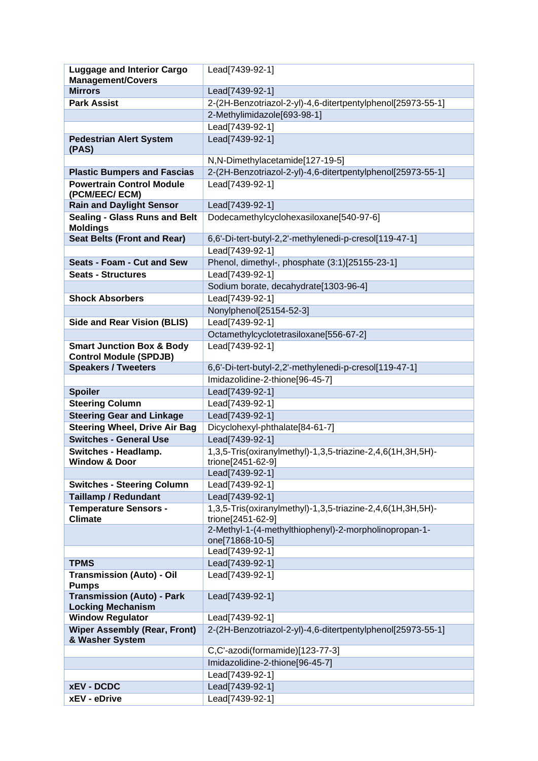| <b>Luggage and Interior Cargo</b><br><b>Management/Covers</b>         | Lead[7439-92-1]                                                                 |
|-----------------------------------------------------------------------|---------------------------------------------------------------------------------|
| <b>Mirrors</b>                                                        | Lead[7439-92-1]                                                                 |
| <b>Park Assist</b>                                                    | 2-(2H-Benzotriazol-2-yl)-4,6-ditertpentylphenol[25973-55-1]                     |
|                                                                       | 2-Methylimidazole[693-98-1]                                                     |
|                                                                       | Lead[7439-92-1]                                                                 |
| <b>Pedestrian Alert System</b>                                        | Lead[7439-92-1]                                                                 |
| (PAS)                                                                 |                                                                                 |
|                                                                       | N,N-Dimethylacetamide[127-19-5]                                                 |
| <b>Plastic Bumpers and Fascias</b>                                    | 2-(2H-Benzotriazol-2-yl)-4,6-ditertpentylphenol[25973-55-1]                     |
| <b>Powertrain Control Module</b><br>(PCM/EEC/ ECM)                    | Lead[7439-92-1]                                                                 |
| <b>Rain and Daylight Sensor</b>                                       | Lead[7439-92-1]                                                                 |
| <b>Sealing - Glass Runs and Belt</b>                                  | Dodecamethylcyclohexasiloxane[540-97-6]                                         |
| <b>Moldings</b>                                                       |                                                                                 |
| <b>Seat Belts (Front and Rear)</b>                                    | 6,6'-Di-tert-butyl-2,2'-methylenedi-p-cresol[119-47-1]                          |
|                                                                       | Lead[7439-92-1]                                                                 |
| <b>Seats - Foam - Cut and Sew</b>                                     | Phenol, dimethyl-, phosphate (3:1)[25155-23-1]                                  |
| <b>Seats - Structures</b>                                             | Lead[7439-92-1]                                                                 |
|                                                                       | Sodium borate, decahydrate[1303-96-4]                                           |
| <b>Shock Absorbers</b>                                                | Lead[7439-92-1]                                                                 |
|                                                                       | Nonylphenol[25154-52-3]                                                         |
| <b>Side and Rear Vision (BLIS)</b>                                    | Lead[7439-92-1]                                                                 |
|                                                                       | Octamethylcyclotetrasiloxane[556-67-2]                                          |
| <b>Smart Junction Box &amp; Body</b><br><b>Control Module (SPDJB)</b> | Lead[7439-92-1]                                                                 |
| <b>Speakers / Tweeters</b>                                            | 6,6'-Di-tert-butyl-2,2'-methylenedi-p-cresol[119-47-1]                          |
|                                                                       | Imidazolidine-2-thione[96-45-7]                                                 |
| <b>Spoiler</b>                                                        | Lead[7439-92-1]                                                                 |
| <b>Steering Column</b>                                                | Lead[7439-92-1]                                                                 |
| <b>Steering Gear and Linkage</b>                                      | Lead[7439-92-1]                                                                 |
| <b>Steering Wheel, Drive Air Bag</b>                                  | Dicyclohexyl-phthalate[84-61-7]                                                 |
| <b>Switches - General Use</b>                                         | Lead[7439-92-1]                                                                 |
| <b>Switches - Headlamp.</b><br><b>Window &amp; Door</b>               | 1,3,5-Tris(oxiranylmethyl)-1,3,5-triazine-2,4,6(1H,3H,5H)-<br>trione[2451-62-9] |
|                                                                       | Lead[7439-92-1]                                                                 |
| <b>Switches - Steering Column</b>                                     | Lead[7439-92-1]                                                                 |
| <b>Taillamp / Redundant</b>                                           | Lead[7439-92-1]                                                                 |
| <b>Temperature Sensors -</b>                                          | 1,3,5-Tris(oxiranylmethyl)-1,3,5-triazine-2,4,6(1H,3H,5H)-                      |
| <b>Climate</b>                                                        | trione[2451-62-9]                                                               |
|                                                                       | 2-Methyl-1-(4-methylthiophenyl)-2-morpholinopropan-1-                           |
|                                                                       | one[71868-10-5]                                                                 |
|                                                                       | Lead[7439-92-1]                                                                 |
| <b>TPMS</b>                                                           | Lead[7439-92-1]                                                                 |
| <b>Transmission (Auto) - Oil</b><br><b>Pumps</b>                      | Lead[7439-92-1]                                                                 |
| <b>Transmission (Auto) - Park</b>                                     | Lead[7439-92-1]                                                                 |
| <b>Locking Mechanism</b><br><b>Window Regulator</b>                   | Lead[7439-92-1]                                                                 |
| <b>Wiper Assembly (Rear, Front)</b>                                   | 2-(2H-Benzotriazol-2-yl)-4,6-ditertpentylphenol[25973-55-1]                     |
| & Washer System                                                       |                                                                                 |
|                                                                       | C,C'-azodi(formamide)[123-77-3]                                                 |
|                                                                       | Imidazolidine-2-thione[96-45-7]                                                 |
|                                                                       | Lead[7439-92-1]                                                                 |
| <b>xEV - DCDC</b>                                                     | Lead[7439-92-1]                                                                 |
| xEV - eDrive                                                          | Lead[7439-92-1]                                                                 |